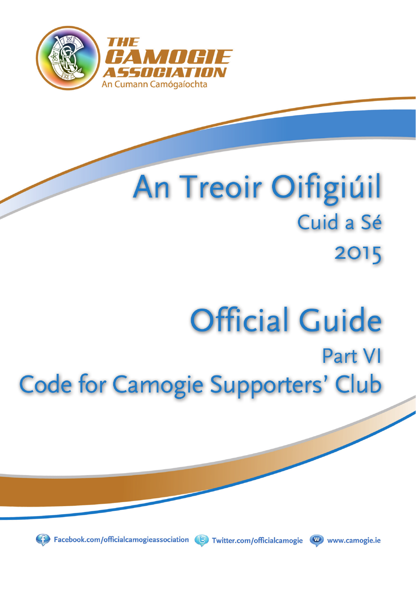

## **An Treoir Oifigiúil** Cuid a Sé 2015

# **Official Guide**

### Part VI **Code for Camogie Supporters' Club**



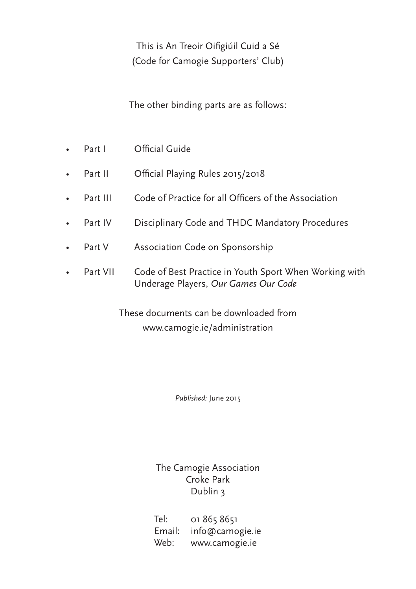This is An Treoir Oifigiúil Cuid a Sé (Code for Camogie Supporters' Club)

The other binding parts are as follows:

- Part I Official Guide
- Part II Official Playing Rules 2015/2018
- Part III Code of Practice for all Officers of the Association
- Part IV Disciplinary Code and THDC Mandatory Procedures
- Part V Association Code on Sponsorship
- Part VII Code of Best Practice in Youth Sport When Working with Underage Players, *Our Games Our Code*

These documents can be downloaded from www.camogie.ie/administration

*Published:* June 2015

The Camogie Association Croke Park Dublin 3

Tel: 01 865 8651 Email: info@camogie.ie Web: www.camogie.ie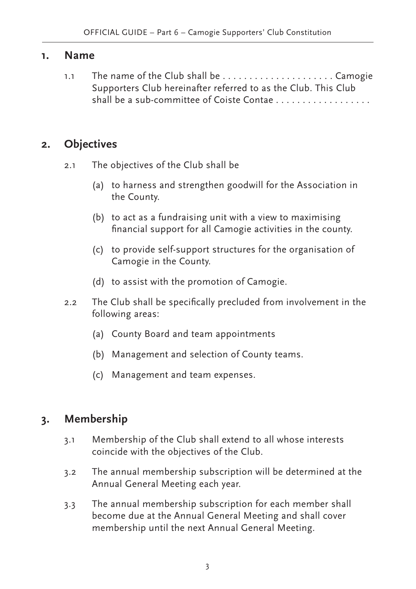#### **1. Name**

1.1 The name of the Club shall be .....................Camogie Supporters Club hereinafter referred to as the Club. This Club shall be a sub-committee of Coiste Contae . . . . . . . . . . . . . . . . . .

#### **2. Objectives**

- 2.1 The objectives of the Club shall be
	- (a) to harness and strengthen goodwill for the Association in the County.
	- (b) to act as a fundraising unit with a view to maximising financial support for all Camogie activities in the county.
	- (c) to provide self-support structures for the organisation of Camogie in the County.
	- (d) to assist with the promotion of Camogie.
- 2.2 The Club shall be specifically precluded from involvement in the following areas:
	- (a) County Board and team appointments
	- (b) Management and selection of County teams.
	- (c) Management and team expenses.

#### **3. Membership**

- 3.1 Membership of the Club shall extend to all whose interests coincide with the objectives of the Club.
- 3.2 The annual membership subscription will be determined at the Annual General Meeting each year.
- 3.3 The annual membership subscription for each member shall become due at the Annual General Meeting and shall cover membership until the next Annual General Meeting.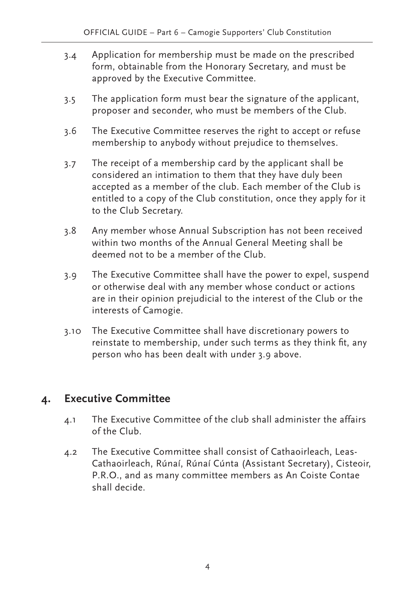- 3.4 Application for membership must be made on the prescribed form, obtainable from the Honorary Secretary, and must be approved by the Executive Committee.
- 3.5 The application form must bear the signature of the applicant, proposer and seconder, who must be members of the Club.
- 3.6 The Executive Committee reserves the right to accept or refuse membership to anybody without prejudice to themselves.
- 3.7 The receipt of a membership card by the applicant shall be considered an intimation to them that they have duly been accepted as a member of the club. Each member of the Club is entitled to a copy of the Club constitution, once they apply for it to the Club Secretary.
- 3.8 Any member whose Annual Subscription has not been received within two months of the Annual General Meeting shall be deemed not to be a member of the Club.
- 3.9 The Executive Committee shall have the power to expel, suspend or otherwise deal with any member whose conduct or actions are in their opinion prejudicial to the interest of the Club or the interests of Camogie.
- 3.10 The Executive Committee shall have discretionary powers to reinstate to membership, under such terms as they think fit, any person who has been dealt with under 3.9 above.

#### **4. Executive Committee**

- 4.1 The Executive Committee of the club shall administer the affairs of the Club.
- 4.2 The Executive Committee shall consist of Cathaoirleach, Leas-Cathaoirleach, Rúnaí, Rúnaí Cúnta (Assistant Secretary), Cisteoir, P.R.O., and as many committee members as An Coiste Contae shall decide.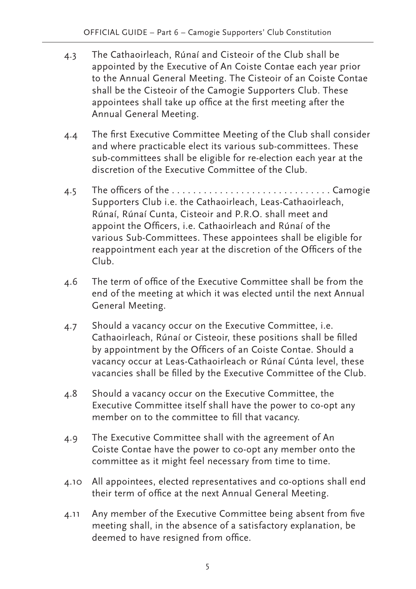- 4.3 The Cathaoirleach, Rúnaí and Cisteoir of the Club shall be appointed by the Executive of An Coiste Contae each year prior to the Annual General Meeting. The Cisteoir of an Coiste Contae shall be the Cisteoir of the Camogie Supporters Club. These appointees shall take up office at the first meeting after the Annual General Meeting.
- 4.4 The first Executive Committee Meeting of the Club shall consider and where practicable elect its various sub-committees. These sub-committees shall be eligible for re-election each year at the discretion of the Executive Committee of the Club.
- 4.5 The officers of the . . . . . . . . . . . . . . . . . . . . . . . . . . . . . . Camogie Supporters Club i.e. the Cathaoirleach, Leas-Cathaoirleach, Rúnaí, Rúnaí Cunta, Cisteoir and P.R.O. shall meet and appoint the Officers, i.e. Cathaoirleach and Rúnaí of the various Sub-Committees. These appointees shall be eligible for reappointment each year at the discretion of the Officers of the Club.
- 4.6 The term of office of the Executive Committee shall be from the end of the meeting at which it was elected until the next Annual General Meeting.
- 4.7 Should a vacancy occur on the Executive Committee, i.e. Cathaoirleach, Rúnaí or Cisteoir, these positions shall be filled by appointment by the Officers of an Coiste Contae. Should a vacancy occur at Leas-Cathaoirleach or Rúnaí Cúnta level, these vacancies shall be filled by the Executive Committee of the Club.
- 4.8 Should a vacancy occur on the Executive Committee, the Executive Committee itself shall have the power to co-opt any member on to the committee to fill that vacancy.
- 4.9 The Executive Committee shall with the agreement of An Coiste Contae have the power to co-opt any member onto the committee as it might feel necessary from time to time.
- 4.10 All appointees, elected representatives and co-options shall end their term of office at the next Annual General Meeting.
- 4.11 Any member of the Executive Committee being absent from five meeting shall, in the absence of a satisfactory explanation, be deemed to have resigned from office.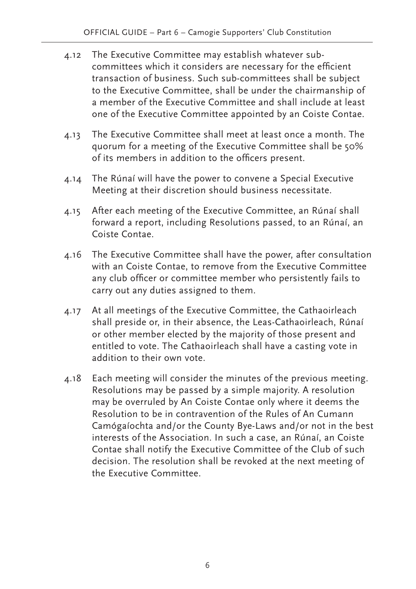- 4.12 The Executive Committee may establish whatever subcommittees which it considers are necessary for the efficient transaction of business. Such sub-committees shall be subject to the Executive Committee, shall be under the chairmanship of a member of the Executive Committee and shall include at least one of the Executive Committee appointed by an Coiste Contae.
- 4.13 The Executive Committee shall meet at least once a month. The quorum for a meeting of the Executive Committee shall be 50% of its members in addition to the officers present.
- 4.14 The Rúnaí will have the power to convene a Special Executive Meeting at their discretion should business necessitate.
- 4.15 After each meeting of the Executive Committee, an Rúnaí shall forward a report, including Resolutions passed, to an Rúnaí, an Coiste Contae.
- 4.16 The Executive Committee shall have the power, after consultation with an Coiste Contae, to remove from the Executive Committee any club officer or committee member who persistently fails to carry out any duties assigned to them.
- 4.17 At all meetings of the Executive Committee, the Cathaoirleach shall preside or, in their absence, the Leas-Cathaoirleach, Rúnaí or other member elected by the majority of those present and entitled to vote. The Cathaoirleach shall have a casting vote in addition to their own vote.
- 4.18 Each meeting will consider the minutes of the previous meeting. Resolutions may be passed by a simple majority. A resolution may be overruled by An Coiste Contae only where it deems the Resolution to be in contravention of the Rules of An Cumann Camógaíochta and/or the County Bye-Laws and/or not in the best interests of the Association. In such a case, an Rúnaí, an Coiste Contae shall notify the Executive Committee of the Club of such decision. The resolution shall be revoked at the next meeting of the Executive Committee.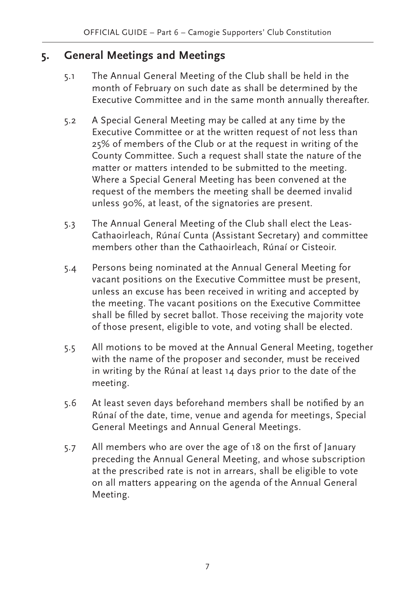#### **5. General Meetings and Meetings**

- 5.1 The Annual General Meeting of the Club shall be held in the month of February on such date as shall be determined by the Executive Committee and in the same month annually thereafter.
- 5.2 A Special General Meeting may be called at any time by the Executive Committee or at the written request of not less than 25% of members of the Club or at the request in writing of the County Committee. Such a request shall state the nature of the matter or matters intended to be submitted to the meeting. Where a Special General Meeting has been convened at the request of the members the meeting shall be deemed invalid unless 90%, at least, of the signatories are present.
- 5.3 The Annual General Meeting of the Club shall elect the Leas-Cathaoirleach, Rúnaí Cunta (Assistant Secretary) and committee members other than the Cathaoirleach, Rúnaí or Cisteoir.
- 5.4 Persons being nominated at the Annual General Meeting for vacant positions on the Executive Committee must be present, unless an excuse has been received in writing and accepted by the meeting. The vacant positions on the Executive Committee shall be filled by secret ballot. Those receiving the majority vote of those present, eligible to vote, and voting shall be elected.
- 5.5 All motions to be moved at the Annual General Meeting, together with the name of the proposer and seconder, must be received in writing by the Rúnaí at least 14 days prior to the date of the meeting.
- 5.6 At least seven days beforehand members shall be notified by an Rúnaí of the date, time, venue and agenda for meetings, Special General Meetings and Annual General Meetings.
- 5.7 All members who are over the age of 18 on the first of January preceding the Annual General Meeting, and whose subscription at the prescribed rate is not in arrears, shall be eligible to vote on all matters appearing on the agenda of the Annual General Meeting.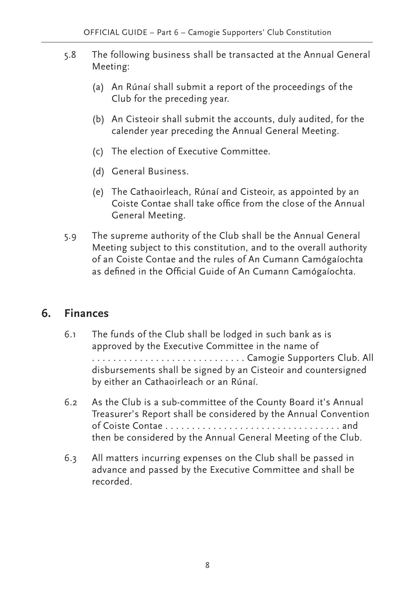- 5.8 The following business shall be transacted at the Annual General Meeting:
	- (a) An Rúnaí shall submit a report of the proceedings of the Club for the preceding year.
	- (b) An Cisteoir shall submit the accounts, duly audited, for the calender year preceding the Annual General Meeting.
	- (c) The election of Executive Committee.
	- (d) General Business.
	- (e) The Cathaoirleach, Rúnaí and Cisteoir, as appointed by an Coiste Contae shall take office from the close of the Annual General Meeting.
- 5.9 The supreme authority of the Club shall be the Annual General Meeting subject to this constitution, and to the overall authority of an Coiste Contae and the rules of An Cumann Camógaíochta as defined in the Official Guide of An Cumann Camógaíochta.

#### **6. Finances**

- 6.1 The funds of the Club shall be lodged in such bank as is approved by the Executive Committee in the name of . . . . . . . . . . . . . . . . . . . . . . . . . . . . . Camogie Supporters Club. All disbursements shall be signed by an Cisteoir and countersigned by either an Cathaoirleach or an Rúnaí.
- 6.2 As the Club is a sub-committee of the County Board it's Annual Treasurer's Report shall be considered by the Annual Convention of Coiste Contae . . . . . . . . . . . . . . . . . . . . . . . . . . . . . . . . . and then be considered by the Annual General Meeting of the Club.
- 6.3 All matters incurring expenses on the Club shall be passed in advance and passed by the Executive Committee and shall be recorded.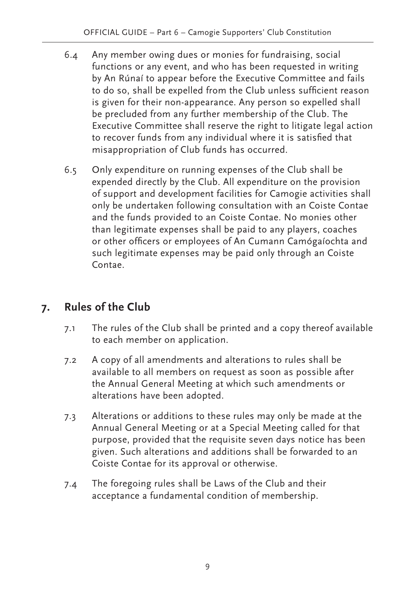- 6.4 Any member owing dues or monies for fundraising, social functions or any event, and who has been requested in writing by An Rúnaí to appear before the Executive Committee and fails to do so, shall be expelled from the Club unless sufficient reason is given for their non-appearance. Any person so expelled shall be precluded from any further membership of the Club. The Executive Committee shall reserve the right to litigate legal action to recover funds from any individual where it is satisfied that misappropriation of Club funds has occurred.
- 6.5 Only expenditure on running expenses of the Club shall be expended directly by the Club. All expenditure on the provision of support and development facilities for Camogie activities shall only be undertaken following consultation with an Coiste Contae and the funds provided to an Coiste Contae. No monies other than legitimate expenses shall be paid to any players, coaches or other officers or employees of An Cumann Camógaíochta and such legitimate expenses may be paid only through an Coiste Contae.

#### **7. Rules of the Club**

- 7.1 The rules of the Club shall be printed and a copy thereof available to each member on application.
- 7.2 A copy of all amendments and alterations to rules shall be available to all members on request as soon as possible after the Annual General Meeting at which such amendments or alterations have been adopted.
- 7.3 Alterations or additions to these rules may only be made at the Annual General Meeting or at a Special Meeting called for that purpose, provided that the requisite seven days notice has been given. Such alterations and additions shall be forwarded to an Coiste Contae for its approval or otherwise.
- 7.4 The foregoing rules shall be Laws of the Club and their acceptance a fundamental condition of membership.